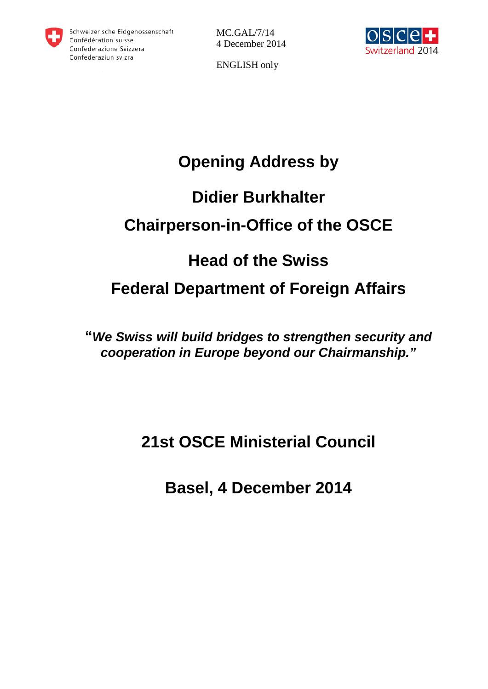

MC.GAL/7/14 4 December 2014



ENGLISH only

# **Opening Address by**

## **Didier Burkhalter**

# **Chairperson-in-Office of the OSCE**

### **Head of the Swiss**

## **Federal Department of Foreign Affairs**

**"***We Swiss will build bridges to strengthen security and cooperation in Europe beyond our Chairmanship."*

## **21st OSCE Ministerial Council**

**Basel, 4 December 2014**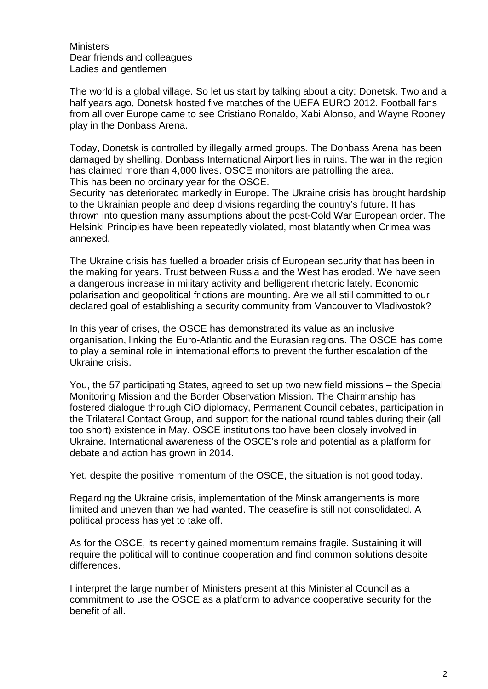**Ministers** Dear friends and colleagues Ladies and gentlemen

The world is a global village. So let us start by talking about a city: Donetsk. Two and a half years ago, Donetsk hosted five matches of the UEFA EURO 2012. Football fans from all over Europe came to see Cristiano Ronaldo, Xabi Alonso, and Wayne Rooney play in the Donbass Arena.

Today, Donetsk is controlled by illegally armed groups. The Donbass Arena has been damaged by shelling. Donbass International Airport lies in ruins. The war in the region has claimed more than 4,000 lives. OSCE monitors are patrolling the area. This has been no ordinary year for the OSCE.

Security has deteriorated markedly in Europe. The Ukraine crisis has brought hardship to the Ukrainian people and deep divisions regarding the country's future. It has thrown into question many assumptions about the post-Cold War European order. The Helsinki Principles have been repeatedly violated, most blatantly when Crimea was annexed.

The Ukraine crisis has fuelled a broader crisis of European security that has been in the making for years. Trust between Russia and the West has eroded. We have seen a dangerous increase in military activity and belligerent rhetoric lately. Economic polarisation and geopolitical frictions are mounting. Are we all still committed to our declared goal of establishing a security community from Vancouver to Vladivostok?

In this year of crises, the OSCE has demonstrated its value as an inclusive organisation, linking the Euro-Atlantic and the Eurasian regions. The OSCE has come to play a seminal role in international efforts to prevent the further escalation of the Ukraine crisis.

You, the 57 participating States, agreed to set up two new field missions – the Special Monitoring Mission and the Border Observation Mission. The Chairmanship has fostered dialogue through CiO diplomacy, Permanent Council debates, participation in the Trilateral Contact Group, and support for the national round tables during their (all too short) existence in May. OSCE institutions too have been closely involved in Ukraine. International awareness of the OSCE's role and potential as a platform for debate and action has grown in 2014.

Yet, despite the positive momentum of the OSCE, the situation is not good today.

Regarding the Ukraine crisis, implementation of the Minsk arrangements is more limited and uneven than we had wanted. The ceasefire is still not consolidated. A political process has yet to take off.

As for the OSCE, its recently gained momentum remains fragile. Sustaining it will require the political will to continue cooperation and find common solutions despite differences.

I interpret the large number of Ministers present at this Ministerial Council as a commitment to use the OSCE as a platform to advance cooperative security for the benefit of all.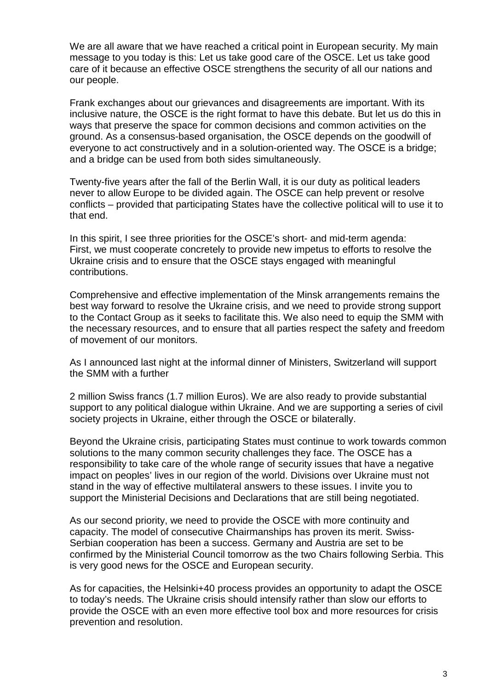We are all aware that we have reached a critical point in European security. My main message to you today is this: Let us take good care of the OSCE. Let us take good care of it because an effective OSCE strengthens the security of all our nations and our people.

Frank exchanges about our grievances and disagreements are important. With its inclusive nature, the OSCE is the right format to have this debate. But let us do this in ways that preserve the space for common decisions and common activities on the ground. As a consensus-based organisation, the OSCE depends on the goodwill of everyone to act constructively and in a solution-oriented way. The OSCE is a bridge; and a bridge can be used from both sides simultaneously.

Twenty-five years after the fall of the Berlin Wall, it is our duty as political leaders never to allow Europe to be divided again. The OSCE can help prevent or resolve conflicts – provided that participating States have the collective political will to use it to that end.

In this spirit, I see three priorities for the OSCE's short- and mid-term agenda: First, we must cooperate concretely to provide new impetus to efforts to resolve the Ukraine crisis and to ensure that the OSCE stays engaged with meaningful contributions.

Comprehensive and effective implementation of the Minsk arrangements remains the best way forward to resolve the Ukraine crisis, and we need to provide strong support to the Contact Group as it seeks to facilitate this. We also need to equip the SMM with the necessary resources, and to ensure that all parties respect the safety and freedom of movement of our monitors.

As I announced last night at the informal dinner of Ministers, Switzerland will support the SMM with a further

2 million Swiss francs (1.7 million Euros). We are also ready to provide substantial support to any political dialogue within Ukraine. And we are supporting a series of civil society projects in Ukraine, either through the OSCE or bilaterally.

Beyond the Ukraine crisis, participating States must continue to work towards common solutions to the many common security challenges they face. The OSCE has a responsibility to take care of the whole range of security issues that have a negative impact on peoples' lives in our region of the world. Divisions over Ukraine must not stand in the way of effective multilateral answers to these issues. I invite you to support the Ministerial Decisions and Declarations that are still being negotiated.

As our second priority, we need to provide the OSCE with more continuity and capacity. The model of consecutive Chairmanships has proven its merit. Swiss-Serbian cooperation has been a success. Germany and Austria are set to be confirmed by the Ministerial Council tomorrow as the two Chairs following Serbia. This is very good news for the OSCE and European security.

As for capacities, the Helsinki+40 process provides an opportunity to adapt the OSCE to today's needs. The Ukraine crisis should intensify rather than slow our efforts to provide the OSCE with an even more effective tool box and more resources for crisis prevention and resolution.